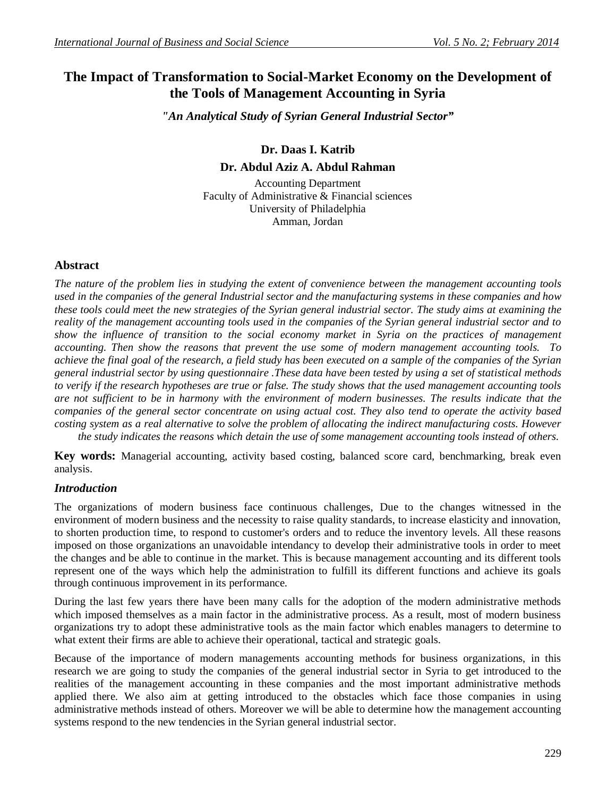# **The Impact of Transformation to Social-Market Economy on the Development of the Tools of Management Accounting in Syria**

*"An Analytical Study of Syrian General Industrial Sector"*

 **Dr. Daas I. Katrib Dr. Abdul Aziz A. Abdul Rahman**

Accounting Department Faculty of Administrative & Financial sciences University of Philadelphia Amman, Jordan

# **Abstract**

*The nature of the problem lies in studying the extent of convenience between the management accounting tools used in the companies of the general Industrial sector and the manufacturing systems in these companies and how these tools could meet the new strategies of the Syrian general industrial sector. The study aims at examining the reality of the management accounting tools used in the companies of the Syrian general industrial sector and to show the influence of transition to the social economy market in Syria on the practices of management accounting. Then show the reasons that prevent the use some of modern management accounting tools. To achieve the final goal of the research, a field study has been executed on a sample of the companies of the Syrian general industrial sector by using questionnaire .These data have been tested by using a set of statistical methods to verify if the research hypotheses are true or false. The study shows that the used management accounting tools are not sufficient to be in harmony with the environment of modern businesses. The results indicate that the companies of the general sector concentrate on using actual cost. They also tend to operate the activity based costing system as a real alternative to solve the problem of allocating the indirect manufacturing costs. However the study indicates the reasons which detain the use of some management accounting tools instead of others.* 

**Key words:** Managerial accounting, activity based costing, balanced score card, benchmarking, break even analysis.

## *Introduction*

The organizations of modern business face continuous challenges, Due to the changes witnessed in the environment of modern business and the necessity to raise quality standards, to increase elasticity and innovation, to shorten production time, to respond to customer's orders and to reduce the inventory levels. All these reasons imposed on those organizations an unavoidable intendancy to develop their administrative tools in order to meet the changes and be able to continue in the market. This is because management accounting and its different tools represent one of the ways which help the administration to fulfill its different functions and achieve its goals through continuous improvement in its performance.

During the last few years there have been many calls for the adoption of the modern administrative methods which imposed themselves as a main factor in the administrative process. As a result, most of modern business organizations try to adopt these administrative tools as the main factor which enables managers to determine to what extent their firms are able to achieve their operational, tactical and strategic goals.

Because of the importance of modern managements accounting methods for business organizations, in this research we are going to study the companies of the general industrial sector in Syria to get introduced to the realities of the management accounting in these companies and the most important administrative methods applied there. We also aim at getting introduced to the obstacles which face those companies in using administrative methods instead of others. Moreover we will be able to determine how the management accounting systems respond to the new tendencies in the Syrian general industrial sector.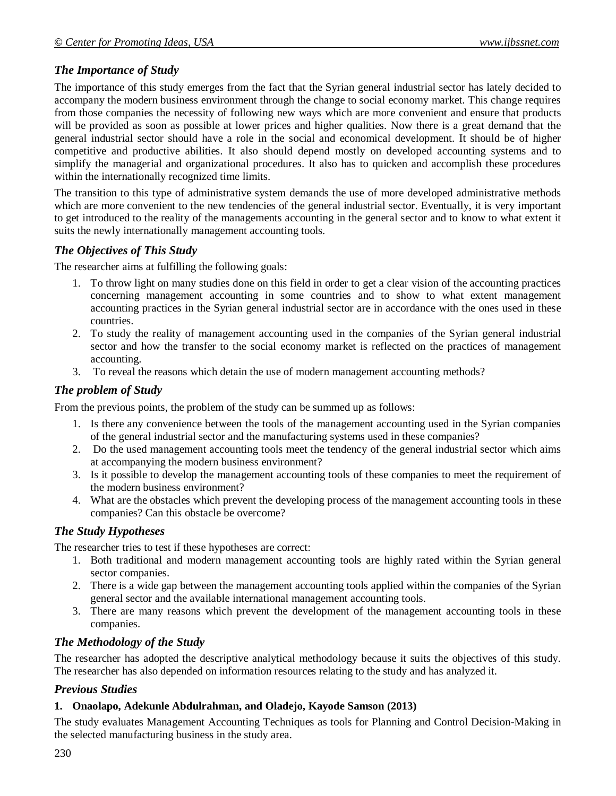# *The Importance of Study*

The importance of this study emerges from the fact that the Syrian general industrial sector has lately decided to accompany the modern business environment through the change to social economy market. This change requires from those companies the necessity of following new ways which are more convenient and ensure that products will be provided as soon as possible at lower prices and higher qualities. Now there is a great demand that the general industrial sector should have a role in the social and economical development. It should be of higher competitive and productive abilities. It also should depend mostly on developed accounting systems and to simplify the managerial and organizational procedures. It also has to quicken and accomplish these procedures within the internationally recognized time limits.

The transition to this type of administrative system demands the use of more developed administrative methods which are more convenient to the new tendencies of the general industrial sector. Eventually, it is very important to get introduced to the reality of the managements accounting in the general sector and to know to what extent it suits the newly internationally management accounting tools.

## *The Objectives of This Study*

The researcher aims at fulfilling the following goals:

- 1. To throw light on many studies done on this field in order to get a clear vision of the accounting practices concerning management accounting in some countries and to show to what extent management accounting practices in the Syrian general industrial sector are in accordance with the ones used in these countries.
- 2. To study the reality of management accounting used in the companies of the Syrian general industrial sector and how the transfer to the social economy market is reflected on the practices of management accounting.
- 3. To reveal the reasons which detain the use of modern management accounting methods?

## *The problem of Study*

From the previous points, the problem of the study can be summed up as follows:

- 1. Is there any convenience between the tools of the management accounting used in the Syrian companies of the general industrial sector and the manufacturing systems used in these companies?
- 2. Do the used management accounting tools meet the tendency of the general industrial sector which aims at accompanying the modern business environment?
- 3. Is it possible to develop the management accounting tools of these companies to meet the requirement of the modern business environment?
- 4. What are the obstacles which prevent the developing process of the management accounting tools in these companies? Can this obstacle be overcome?

### *The Study Hypotheses*

The researcher tries to test if these hypotheses are correct:

- 1. Both traditional and modern management accounting tools are highly rated within the Syrian general sector companies.
- 2. There is a wide gap between the management accounting tools applied within the companies of the Syrian general sector and the available international management accounting tools.
- 3. There are many reasons which prevent the development of the management accounting tools in these companies.

## *The Methodology of the Study*

The researcher has adopted the descriptive analytical methodology because it suits the objectives of this study. The researcher has also depended on information resources relating to the study and has analyzed it.

## *Previous Studies*

### **1. Onaolapo, Adekunle Abdulrahman, and Oladejo, Kayode Samson (2013)**

The study evaluates Management Accounting Techniques as tools for Planning and Control Decision-Making in the selected manufacturing business in the study area.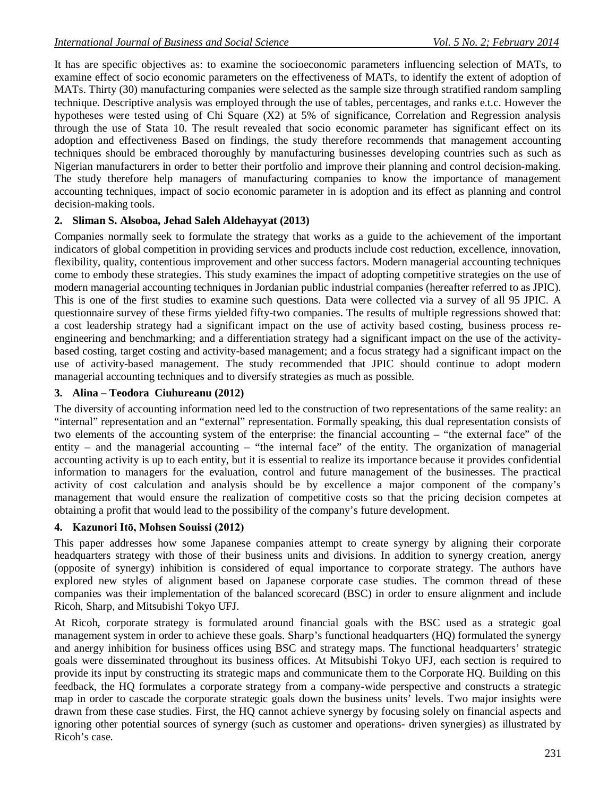It has are specific objectives as: to examine the socioeconomic parameters influencing selection of MATs, to examine effect of socio economic parameters on the effectiveness of MATs, to identify the extent of adoption of MATs. Thirty (30) manufacturing companies were selected as the sample size through stratified random sampling technique. Descriptive analysis was employed through the use of tables, percentages, and ranks e.t.c. However the hypotheses were tested using of Chi Square (X2) at 5% of significance, Correlation and Regression analysis through the use of Stata 10. The result revealed that socio economic parameter has significant effect on its adoption and effectiveness Based on findings, the study therefore recommends that management accounting techniques should be embraced thoroughly by manufacturing businesses developing countries such as such as Nigerian manufacturers in order to better their portfolio and improve their planning and control decision-making. The study therefore help managers of manufacturing companies to know the importance of management accounting techniques, impact of socio economic parameter in is adoption and its effect as planning and control decision-making tools.

#### **2. Sliman S. Alsoboa, Jehad Saleh Aldehayyat (2013)**

Companies normally seek to formulate the strategy that works as a guide to the achievement of the important indicators of global competition in providing services and products include cost reduction, excellence, innovation, flexibility, quality, contentious improvement and other success factors. Modern managerial accounting techniques come to embody these strategies. This study examines the impact of adopting competitive strategies on the use of modern managerial accounting techniques in Jordanian public industrial companies (hereafter referred to as JPIC). This is one of the first studies to examine such questions. Data were collected via a survey of all 95 JPIC. A questionnaire survey of these firms yielded fifty-two companies. The results of multiple regressions showed that: a cost leadership strategy had a significant impact on the use of activity based costing, business process reengineering and benchmarking; and a differentiation strategy had a significant impact on the use of the activitybased costing, target costing and activity-based management; and a focus strategy had a significant impact on the use of activity-based management. The study recommended that JPIC should continue to adopt modern managerial accounting techniques and to diversify strategies as much as possible.

#### **3. Alina – Teodora Ciuhureanu (2012)**

The diversity of accounting information need led to the construction of two representations of the same reality: an "internal" representation and an "external" representation. Formally speaking, this dual representation consists of two elements of the accounting system of the enterprise: the financial accounting – "the external face" of the entity – and the managerial accounting – "the internal face" of the entity. The organization of managerial accounting activity is up to each entity, but it is essential to realize its importance because it provides confidential information to managers for the evaluation, control and future management of the businesses. The practical activity of cost calculation and analysis should be by excellence a major component of the company's management that would ensure the realization of competitive costs so that the pricing decision competes at obtaining a profit that would lead to the possibility of the company's future development.

#### **4. Kazunori Itō, Mohsen Souissi (2012)**

This paper addresses how some Japanese companies attempt to create synergy by aligning their corporate headquarters strategy with those of their business units and divisions. In addition to synergy creation, anergy (opposite of synergy) inhibition is considered of equal importance to corporate strategy. The authors have explored new styles of alignment based on Japanese corporate case studies. The common thread of these companies was their implementation of the balanced scorecard (BSC) in order to ensure alignment and include Ricoh, Sharp, and Mitsubishi Tokyo UFJ.

At Ricoh, corporate strategy is formulated around financial goals with the BSC used as a strategic goal management system in order to achieve these goals. Sharp's functional headquarters (HQ) formulated the synergy and anergy inhibition for business offices using BSC and strategy maps. The functional headquarters' strategic goals were disseminated throughout its business offices. At Mitsubishi Tokyo UFJ, each section is required to provide its input by constructing its strategic maps and communicate them to the Corporate HQ. Building on this feedback, the HQ formulates a corporate strategy from a company-wide perspective and constructs a strategic map in order to cascade the corporate strategic goals down the business units' levels. Two major insights were drawn from these case studies. First, the HQ cannot achieve synergy by focusing solely on financial aspects and ignoring other potential sources of synergy (such as customer and operations- driven synergies) as illustrated by Ricoh's case.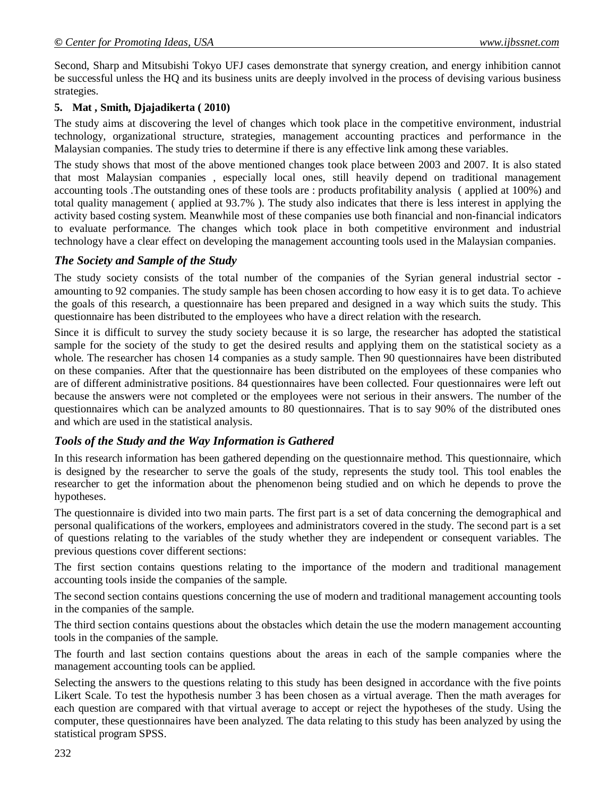Second, Sharp and Mitsubishi Tokyo UFJ cases demonstrate that synergy creation, and energy inhibition cannot be successful unless the HQ and its business units are deeply involved in the process of devising various business strategies.

#### **5. Mat , Smith, Djajadikerta ( 2010)**

The study aims at discovering the level of changes which took place in the competitive environment, industrial technology, organizational structure, strategies, management accounting practices and performance in the Malaysian companies. The study tries to determine if there is any effective link among these variables.

The study shows that most of the above mentioned changes took place between 2003 and 2007. It is also stated that most Malaysian companies , especially local ones, still heavily depend on traditional management accounting tools .The outstanding ones of these tools are : products profitability analysis ( applied at 100%) and total quality management ( applied at 93.7% ). The study also indicates that there is less interest in applying the activity based costing system. Meanwhile most of these companies use both financial and non-financial indicators to evaluate performance. The changes which took place in both competitive environment and industrial technology have a clear effect on developing the management accounting tools used in the Malaysian companies.

### *The Society and Sample of the Study*

The study society consists of the total number of the companies of the Syrian general industrial sector amounting to 92 companies. The study sample has been chosen according to how easy it is to get data. To achieve the goals of this research, a questionnaire has been prepared and designed in a way which suits the study. This questionnaire has been distributed to the employees who have a direct relation with the research.

Since it is difficult to survey the study society because it is so large, the researcher has adopted the statistical sample for the society of the study to get the desired results and applying them on the statistical society as a whole. The researcher has chosen 14 companies as a study sample. Then 90 questionnaires have been distributed on these companies. After that the questionnaire has been distributed on the employees of these companies who are of different administrative positions. 84 questionnaires have been collected. Four questionnaires were left out because the answers were not completed or the employees were not serious in their answers. The number of the questionnaires which can be analyzed amounts to 80 questionnaires. That is to say 90% of the distributed ones and which are used in the statistical analysis.

### *Tools of the Study and the Way Information is Gathered*

In this research information has been gathered depending on the questionnaire method. This questionnaire, which is designed by the researcher to serve the goals of the study, represents the study tool. This tool enables the researcher to get the information about the phenomenon being studied and on which he depends to prove the hypotheses.

The questionnaire is divided into two main parts. The first part is a set of data concerning the demographical and personal qualifications of the workers, employees and administrators covered in the study. The second part is a set of questions relating to the variables of the study whether they are independent or consequent variables. The previous questions cover different sections:

The first section contains questions relating to the importance of the modern and traditional management accounting tools inside the companies of the sample.

The second section contains questions concerning the use of modern and traditional management accounting tools in the companies of the sample.

The third section contains questions about the obstacles which detain the use the modern management accounting tools in the companies of the sample.

The fourth and last section contains questions about the areas in each of the sample companies where the management accounting tools can be applied.

Selecting the answers to the questions relating to this study has been designed in accordance with the five points Likert Scale. To test the hypothesis number 3 has been chosen as a virtual average. Then the math averages for each question are compared with that virtual average to accept or reject the hypotheses of the study. Using the computer, these questionnaires have been analyzed. The data relating to this study has been analyzed by using the statistical program SPSS.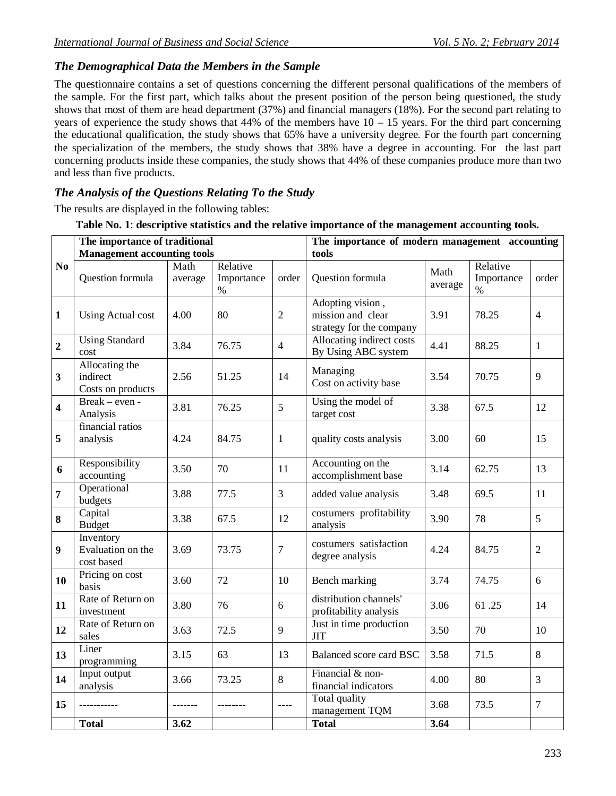# *The Demographical Data the Members in the Sample*

The questionnaire contains a set of questions concerning the different personal qualifications of the members of the sample. For the first part, which talks about the present position of the person being questioned, the study shows that most of them are head department (37%) and financial managers (18%). For the second part relating to years of experience the study shows that  $44\%$  of the members have  $10 - 15$  years. For the third part concerning the educational qualification, the study shows that 65% have a university degree. For the fourth part concerning the specialization of the members, the study shows that 38% have a degree in accounting. For the last part concerning products inside these companies, the study shows that 44% of these companies produce more than two and less than five products.

## *The Analysis of the Questions Relating To the Study*

The results are displayed in the following tables:

| Table No. 1: descriptive statistics and the relative importance of the management accounting tools. |  |
|-----------------------------------------------------------------------------------------------------|--|
|                                                                                                     |  |

|                         | The importance of traditional                   |                 |                                |                | The importance of modern management accounting                    |                 |                                |                |  |  |
|-------------------------|-------------------------------------------------|-----------------|--------------------------------|----------------|-------------------------------------------------------------------|-----------------|--------------------------------|----------------|--|--|
|                         | <b>Management accounting tools</b>              |                 |                                |                | tools                                                             |                 |                                |                |  |  |
| No                      | Question formula                                | Math<br>average | Relative<br>Importance<br>$\%$ | order          | Question formula                                                  | Math<br>average | Relative<br>Importance<br>$\%$ | order          |  |  |
| $\mathbf{1}$            | <b>Using Actual cost</b>                        | 4.00            | 80                             | $\overline{2}$ | Adopting vision,<br>mission and clear<br>strategy for the company | 3.91            | 78.25                          | $\overline{4}$ |  |  |
| $\boldsymbol{2}$        | <b>Using Standard</b><br>cost                   | 3.84            | 76.75                          | $\overline{4}$ | Allocating indirect costs<br>By Using ABC system                  | 4.41            | 88.25                          | $\mathbf{1}$   |  |  |
| 3                       | Allocating the<br>indirect<br>Costs on products | 2.56            | 51.25                          | 14             | Managing<br>Cost on activity base                                 | 3.54            | 70.75                          | 9              |  |  |
| $\overline{\mathbf{4}}$ | Break – even -<br>Analysis                      | 3.81            | 76.25                          | 5              | Using the model of<br>target cost                                 | 3.38            | 67.5                           | 12             |  |  |
| 5                       | financial ratios<br>analysis                    | 4.24            | 84.75                          | $\mathbf{1}$   | quality costs analysis                                            | 3.00            | 60                             | 15             |  |  |
| 6                       | Responsibility<br>accounting                    | 3.50            | 70                             | 11             | Accounting on the<br>accomplishment base                          | 3.14            | 62.75                          | 13             |  |  |
| 7                       | Operational<br>budgets                          | 3.88            | 77.5                           | $\overline{3}$ | added value analysis                                              | 3.48            | 69.5                           | 11             |  |  |
| 8                       | Capital<br><b>Budget</b>                        | 3.38            | 67.5                           | 12             | costumers profitability<br>analysis                               | 3.90            | 78                             | 5              |  |  |
| 9                       | Inventory<br>Evaluation on the<br>cost based    | 3.69            | 73.75                          | $\overline{7}$ | costumers satisfaction<br>degree analysis                         | 4.24            | 84.75                          | $\overline{2}$ |  |  |
| 10                      | Pricing on cost<br>basis                        | 3.60            | 72                             | 10             | Bench marking                                                     | 3.74            | 74.75                          | 6              |  |  |
| 11                      | Rate of Return on<br>investment                 | 3.80            | 76                             | 6              | distribution channels'<br>profitability analysis                  | 3.06            | 61.25                          | 14             |  |  |
| 12                      | Rate of Return on<br>sales                      | 3.63            | 72.5                           | 9              | Just in time production<br><b>JIT</b>                             | 3.50            | 70                             | 10             |  |  |
| 13                      | Liner<br>programming                            | 3.15            | 63                             | 13             | Balanced score card BSC                                           | 3.58            | 71.5                           | 8              |  |  |
| 14                      | Input output<br>analysis                        | 3.66            | 73.25                          | 8              | Financial & non-<br>financial indicators                          | 4.00            | 80                             | 3              |  |  |
| 15                      | ----------                                      | -------         |                                | $---$          | <b>Total quality</b><br>management TQM                            | 3.68            | 73.5                           | $\overline{7}$ |  |  |
|                         | <b>Total</b>                                    | 3.62            |                                |                | <b>Total</b>                                                      | 3.64            |                                |                |  |  |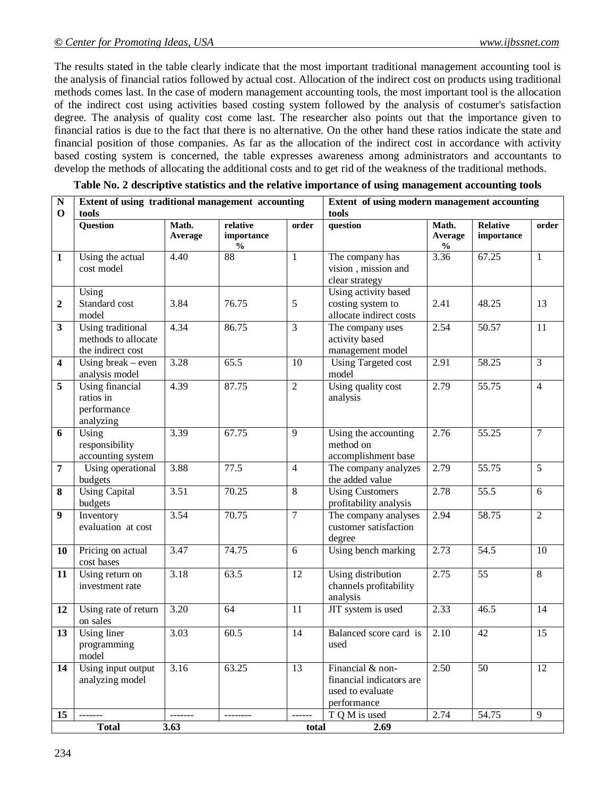The results stated in the table clearly indicate that the most important traditional management accounting tool is the analysis of financial ratios followed by actual cost. Allocation of the indirect cost on products using traditional methods comes last. In the case of modern management accounting tools, the most important tool is the allocation of the indirect cost using activities based costing system followed by the analysis of costumer's satisfaction degree. The analysis of quality cost come last. The researcher also points out that the importance given to financial ratios is due to the fact that there is no alternative. On the other hand these ratios indicate the state and financial position of those companies. As far as the allocation of the indirect cost in accordance with activity based costing system is concerned, the table expresses awareness among administrators and accountants to develop the methods of allocating the additional costs and to get rid of the weakness of the traditional methods.

| ${\bf N}$               | Extent of using traditional management accounting                    |                   |                                         |                 | Extent of using modern management accounting                                    |                                   |                        |                 |  |  |
|-------------------------|----------------------------------------------------------------------|-------------------|-----------------------------------------|-----------------|---------------------------------------------------------------------------------|-----------------------------------|------------------------|-----------------|--|--|
| $\mathbf 0$             | tools                                                                |                   |                                         |                 | tools                                                                           |                                   |                        |                 |  |  |
|                         | Question                                                             | Math.<br>Average  | relative<br>importance<br>$\frac{0}{0}$ | order           | question                                                                        | Math.<br>Average<br>$\frac{0}{0}$ | Relative<br>importance | order           |  |  |
| $\mathbf{1}$            | Using the actual<br>cost model                                       | 4.40              | 88                                      | $\mathbf{1}$    | The company has<br>vision, mission and<br>clear strategy                        | 3.36                              | 67.25                  | $\mathbf{1}$    |  |  |
| $\mathbf 2$             | Using<br>Standard cost<br>model                                      | 3.84              | 76.75                                   | 5               | Using activity based<br>costing system to<br>allocate indirect costs            | 2.41                              | 48.25                  | 13              |  |  |
| $\mathbf{3}$            | <b>Using traditional</b><br>methods to allocate<br>the indirect cost | 4.34              | 86.75                                   | $\overline{3}$  | The company uses<br>activity based<br>management model                          | 2.54                              | 50.57                  | $\overline{11}$ |  |  |
| $\overline{\mathbf{4}}$ | Using break $-$ even<br>analysis model                               | 3.28              | 65.5                                    | 10              | <b>Using Targeted cost</b><br>model                                             | 2.91                              | 58.25                  | $\overline{3}$  |  |  |
| 5                       | Using financial<br>ratios in<br>performance<br>analyzing             | 4.39              | 87.75                                   | $\overline{2}$  | Using quality cost<br>analysis                                                  | 2.79                              | 55.75                  | $\overline{4}$  |  |  |
| 6                       | Using<br>responsibility<br>accounting system                         | 3.39              | 67.75                                   | 9               | Using the accounting<br>method on<br>accomplishment base                        | 2.76                              | 55.25                  | $\overline{7}$  |  |  |
| $\overline{7}$          | Using operational<br>budgets                                         | 3.88              | 77.5                                    | $\overline{4}$  | The company analyzes<br>the added value                                         | 2.79                              | 55.75                  | $\overline{5}$  |  |  |
| 8                       | <b>Using Capital</b><br>budgets                                      | 3.51              | 70.25                                   | $\overline{8}$  | <b>Using Customers</b><br>profitability analysis                                | 2.78                              | 55.5                   | $\overline{6}$  |  |  |
| $\boldsymbol{9}$        | Inventory<br>evaluation at cost                                      | 3.54              | 70.75                                   | $\overline{7}$  | The company analyses<br>customer satisfaction<br>degree                         | 2.94                              | 58.75                  | $\overline{2}$  |  |  |
| <b>10</b>               | Pricing on actual<br>cost bases                                      | $\overline{3.47}$ | 74.75                                   | 6               | Using bench marking                                                             | 2.73                              | $\overline{54.5}$      | 10              |  |  |
| 11                      | Using return on<br>investment rate                                   | 3.18              | 63.5                                    | $\overline{12}$ | Using distribution<br>channels profitability<br>analysis                        | 2.75                              | 55                     | $\overline{8}$  |  |  |
| 12                      | Using rate of return<br>on sales                                     | 3.20              | 64                                      | 11              | JIT system is used                                                              | 2.33                              | 46.5                   | 14              |  |  |
| 13                      | Using liner<br>programming<br>model                                  | 3.03              | 60.5                                    | 14              | Balanced score card is<br>used                                                  | 2.10                              | $\overline{42}$        | 15              |  |  |
| 14                      | Using input output<br>analyzing model                                | 3.16              | 63.25                                   | 13              | Financial & non-<br>financial indicators are<br>used to evaluate<br>performance | 2.50                              | 50                     | 12              |  |  |
| 15                      | -------                                                              | -------           | --------                                | $- - - - - -$   | T Q M is used                                                                   | 2.74                              | 54.75                  | 9               |  |  |
|                         | <b>Total</b>                                                         | 3.63              |                                         | total           | 2.69                                                                            |                                   |                        |                 |  |  |

**Table No. 2 descriptive statistics and the relative importance of using management accounting tools**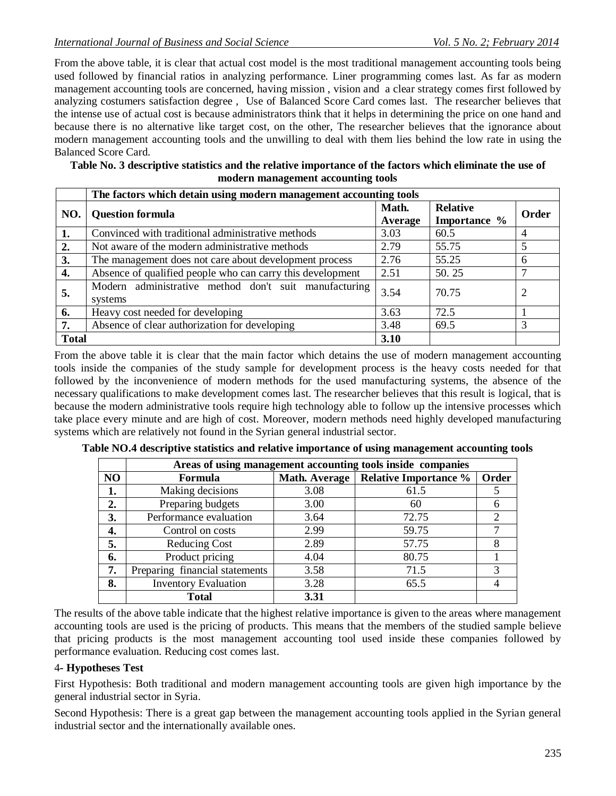From the above table, it is clear that actual cost model is the most traditional management accounting tools being used followed by financial ratios in analyzing performance. Liner programming comes last. As far as modern management accounting tools are concerned, having mission , vision and a clear strategy comes first followed by analyzing costumers satisfaction degree , Use of Balanced Score Card comes last. The researcher believes that the intense use of actual cost is because administrators think that it helps in determining the price on one hand and because there is no alternative like target cost, on the other, The researcher believes that the ignorance about modern management accounting tools and the unwilling to deal with them lies behind the low rate in using the Balanced Score Card.

**Table No. 3 descriptive statistics and the relative importance of the factors which eliminate the use of modern management accounting tools**

|                  | The factors which detain using modern management accounting tools |                  |                                 |       |  |  |  |  |  |  |
|------------------|-------------------------------------------------------------------|------------------|---------------------------------|-------|--|--|--|--|--|--|
| NO.              | <b>Question formula</b>                                           | Math.<br>Average | <b>Relative</b><br>Importance % | Order |  |  |  |  |  |  |
| 1.               | Convinced with traditional administrative methods                 | 3.03             | 60.5                            | 4     |  |  |  |  |  |  |
| $\overline{2}$ . | Not aware of the modern administrative methods                    | 2.79             | 55.75                           | 5     |  |  |  |  |  |  |
| 3.               | The management does not care about development process            | 2.76             | 55.25                           | 6     |  |  |  |  |  |  |
| 4.               | Absence of qualified people who can carry this development        | 2.51             | 50.25                           |       |  |  |  |  |  |  |
| 5.               | Modern administrative method don't suit manufacturing<br>systems  | 3.54             | 70.75                           |       |  |  |  |  |  |  |
| 6.               | Heavy cost needed for developing                                  | 3.63             | 72.5                            |       |  |  |  |  |  |  |
| 7.               | Absence of clear authorization for developing                     | 3.48             | 69.5                            |       |  |  |  |  |  |  |
| <b>Total</b>     |                                                                   | 3.10             |                                 |       |  |  |  |  |  |  |

From the above table it is clear that the main factor which detains the use of modern management accounting tools inside the companies of the study sample for development process is the heavy costs needed for that followed by the inconvenience of modern methods for the used manufacturing systems, the absence of the necessary qualifications to make development comes last. The researcher believes that this result is logical, that is because the modern administrative tools require high technology able to follow up the intensive processes which take place every minute and are high of cost. Moreover, modern methods need highly developed manufacturing systems which are relatively not found in the Syrian general industrial sector.

|                | Areas of using management accounting tools inside companies |      |                                       |       |  |  |  |  |  |  |  |
|----------------|-------------------------------------------------------------|------|---------------------------------------|-------|--|--|--|--|--|--|--|
| N <sub>O</sub> | Formula                                                     |      | Math. Average   Relative Importance % | Order |  |  |  |  |  |  |  |
| 1.             | Making decisions                                            | 3.08 | 61.5                                  |       |  |  |  |  |  |  |  |
| 2.             | Preparing budgets                                           | 3.00 | 60                                    |       |  |  |  |  |  |  |  |
| 3.             | Performance evaluation                                      | 3.64 | 72.75                                 |       |  |  |  |  |  |  |  |
| 4.             | Control on costs                                            | 2.99 | 59.75                                 |       |  |  |  |  |  |  |  |
| 5.             | <b>Reducing Cost</b>                                        | 2.89 | 57.75                                 |       |  |  |  |  |  |  |  |
| 6.             | Product pricing                                             | 4.04 | 80.75                                 |       |  |  |  |  |  |  |  |
| 7.             | Preparing financial statements                              | 3.58 | 71.5                                  |       |  |  |  |  |  |  |  |
| 8.             | <b>Inventory Evaluation</b>                                 | 3.28 | 65.5                                  |       |  |  |  |  |  |  |  |
|                | <b>Total</b>                                                | 3.31 |                                       |       |  |  |  |  |  |  |  |

**Table NO.4 descriptive statistics and relative importance of using management accounting tools**

The results of the above table indicate that the highest relative importance is given to the areas where management accounting tools are used is the pricing of products. This means that the members of the studied sample believe that pricing products is the most management accounting tool used inside these companies followed by performance evaluation. Reducing cost comes last.

### 4**- Hypotheses Test**

First Hypothesis: Both traditional and modern management accounting tools are given high importance by the general industrial sector in Syria.

Second Hypothesis: There is a great gap between the management accounting tools applied in the Syrian general industrial sector and the internationally available ones.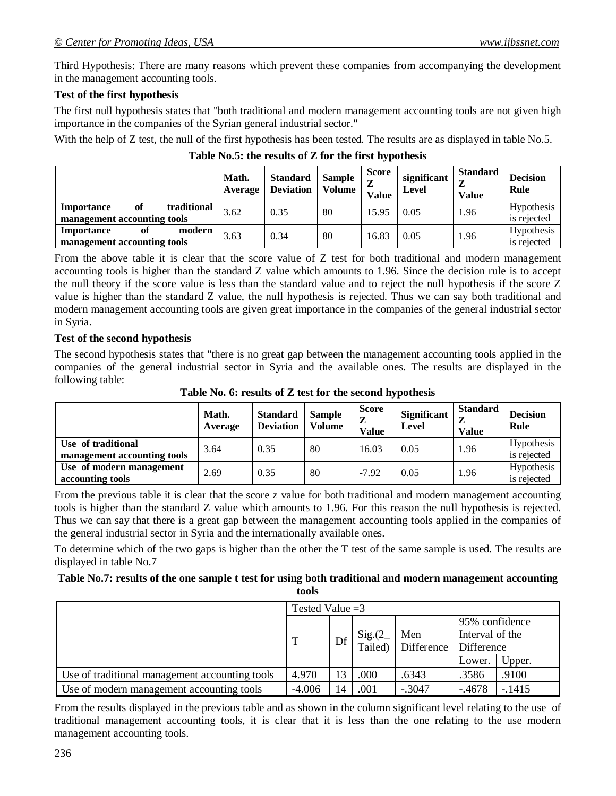Third Hypothesis: There are many reasons which prevent these companies from accompanying the development in the management accounting tools.

#### **Test of the first hypothesis**

The first null hypothesis states that "both traditional and modern management accounting tools are not given high importance in the companies of the Syrian general industrial sector."

With the help of Z test, the null of the first hypothesis has been tested. The results are as displayed in table No.5.

|                                                                | Math.<br>Average | <b>Standard</b><br><b>Deviation</b> | <b>Sample</b><br><b>Volume</b> | Score<br>Z<br>Value | significant<br>Level | <b>Standard</b><br>◢<br><b>Value</b> | <b>Decision</b><br>Rule   |
|----------------------------------------------------------------|------------------|-------------------------------------|--------------------------------|---------------------|----------------------|--------------------------------------|---------------------------|
| traditional<br>of<br>Importance<br>management accounting tools | 3.62             | 0.35                                | 80                             | 15.95               | 0.05                 | 1.96                                 | Hypothesis<br>is rejected |
| modern<br>Importance<br>of<br>management accounting tools      | 3.63             | 0.34                                | 80                             | 16.83               | 0.05                 | 1.96                                 | Hypothesis<br>is rejected |

**Table No.5: the results of Z for the first hypothesis**

From the above table it is clear that the score value of Z test for both traditional and modern management accounting tools is higher than the standard Z value which amounts to 1.96. Since the decision rule is to accept the null theory if the score value is less than the standard value and to reject the null hypothesis if the score Z value is higher than the standard Z value, the null hypothesis is rejected. Thus we can say both traditional and modern management accounting tools are given great importance in the companies of the general industrial sector in Syria.

#### **Test of the second hypothesis**

The second hypothesis states that "there is no great gap between the management accounting tools applied in the companies of the general industrial sector in Syria and the available ones. The results are displayed in the following table:

**Table No. 6: results of Z test for the second hypothesis**

|                                                   | Math.<br>Average | <b>Standard</b><br><b>Deviation</b> | <b>Sample</b><br><b>Volume</b> | <b>Score</b><br>z<br><b>Value</b> | Significant<br>Level | <b>Standard</b><br><b>Value</b> | <b>Decision</b><br>Rule   |
|---------------------------------------------------|------------------|-------------------------------------|--------------------------------|-----------------------------------|----------------------|---------------------------------|---------------------------|
| Use of traditional<br>management accounting tools | 3.64             | 0.35                                | 80                             | 16.03                             | 0.05                 | 1.96                            | Hypothesis<br>is rejected |
| Use of modern management<br>accounting tools      | 2.69             | 0.35                                | 80                             | $-7.92$                           | 0.05                 | 1.96                            | Hypothesis<br>is rejected |

From the previous table it is clear that the score z value for both traditional and modern management accounting tools is higher than the standard Z value which amounts to 1.96. For this reason the null hypothesis is rejected. Thus we can say that there is a great gap between the management accounting tools applied in the companies of the general industrial sector in Syria and the internationally available ones.

To determine which of the two gaps is higher than the other the T test of the same sample is used. The results are displayed in table No.7

# **Table No.7: results of the one sample t test for using both traditional and modern management accounting**

**tools**

|                                                | Tested Value $=$ 3 |    |         |            |                                   |          |  |
|------------------------------------------------|--------------------|----|---------|------------|-----------------------------------|----------|--|
|                                                |                    |    | Sig.(2  | Men        | 95% confidence<br>Interval of the |          |  |
|                                                |                    | Df | Tailed) | Difference | Difference                        |          |  |
|                                                |                    |    |         |            | Lower.                            | Upper.   |  |
| Use of traditional management accounting tools | 4.970              | 13 | .000    | .6343      | .3586                             | .9100    |  |
| Use of modern management accounting tools      | $-4.006$           | 14 | .001    | $-.3047$   | $-4678$                           | $-.1415$ |  |

From the results displayed in the previous table and as shown in the column significant level relating to the use of traditional management accounting tools, it is clear that it is less than the one relating to the use modern management accounting tools.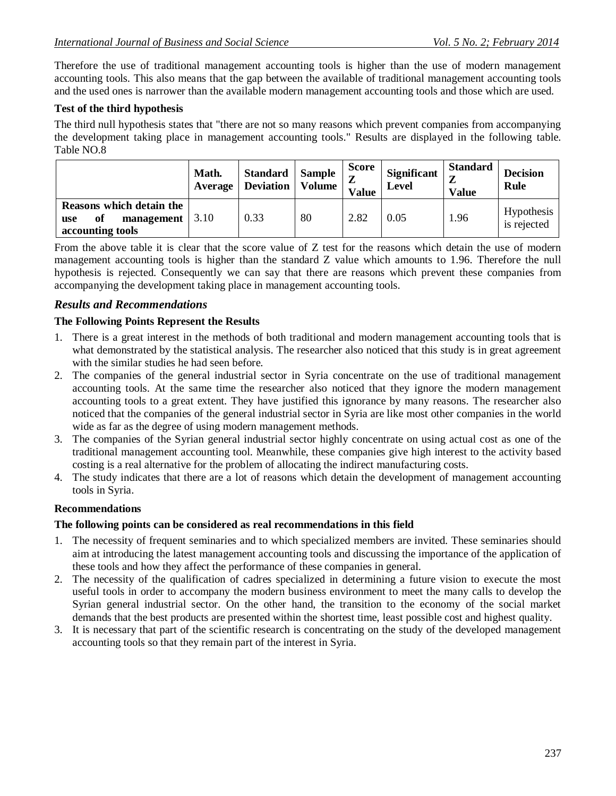Therefore the use of traditional management accounting tools is higher than the use of modern management accounting tools. This also means that the gap between the available of traditional management accounting tools and the used ones is narrower than the available modern management accounting tools and those which are used.

## **Test of the third hypothesis**

The third null hypothesis states that "there are not so many reasons which prevent companies from accompanying the development taking place in management accounting tools." Results are displayed in the following table. Table NO.8

|                                                                                 | Math.<br>Average | <b>Standard</b><br><b>Deviation</b> | <b>Sample</b><br>Volume | <b>Score</b><br>$\mathbf{z}$<br><b>Value</b> | <b>Significant</b><br>Level | <b>Standard</b><br><b>Value</b> | <b>Decision</b><br><b>Rule</b> |
|---------------------------------------------------------------------------------|------------------|-------------------------------------|-------------------------|----------------------------------------------|-----------------------------|---------------------------------|--------------------------------|
| Reasons which detain the<br>management $ 3.10$<br>of<br>use<br>accounting tools |                  | 0.33                                | 80                      | 2.82                                         | 0.05                        | 1.96                            | Hypothesis<br>is rejected      |

From the above table it is clear that the score value of Z test for the reasons which detain the use of modern management accounting tools is higher than the standard Z value which amounts to 1.96. Therefore the null hypothesis is rejected. Consequently we can say that there are reasons which prevent these companies from accompanying the development taking place in management accounting tools.

## *Results and Recommendations*

### **The Following Points Represent the Results**

- 1. There is a great interest in the methods of both traditional and modern management accounting tools that is what demonstrated by the statistical analysis. The researcher also noticed that this study is in great agreement with the similar studies he had seen before.
- 2. The companies of the general industrial sector in Syria concentrate on the use of traditional management accounting tools. At the same time the researcher also noticed that they ignore the modern management accounting tools to a great extent. They have justified this ignorance by many reasons. The researcher also noticed that the companies of the general industrial sector in Syria are like most other companies in the world wide as far as the degree of using modern management methods.
- 3. The companies of the Syrian general industrial sector highly concentrate on using actual cost as one of the traditional management accounting tool. Meanwhile, these companies give high interest to the activity based costing is a real alternative for the problem of allocating the indirect manufacturing costs.
- 4. The study indicates that there are a lot of reasons which detain the development of management accounting tools in Syria.

### **Recommendations**

### **The following points can be considered as real recommendations in this field**

- 1. The necessity of frequent seminaries and to which specialized members are invited. These seminaries should aim at introducing the latest management accounting tools and discussing the importance of the application of these tools and how they affect the performance of these companies in general.
- 2. The necessity of the qualification of cadres specialized in determining a future vision to execute the most useful tools in order to accompany the modern business environment to meet the many calls to develop the Syrian general industrial sector. On the other hand, the transition to the economy of the social market demands that the best products are presented within the shortest time, least possible cost and highest quality.
- 3. It is necessary that part of the scientific research is concentrating on the study of the developed management accounting tools so that they remain part of the interest in Syria.